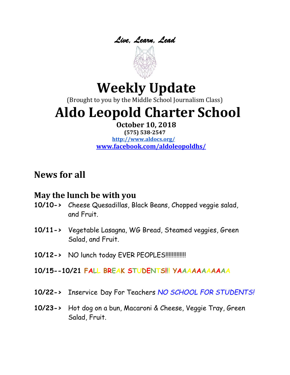

# **Weekly Update**

(Brought to you by the Middle School Journalism Class)

# **Aldo Leopold Charter School**

#### **October 10, 2018**

**(575) 538-2547 <http://www.aldocs.org/> [www.facebook.com/aldoleopoldhs/](http://www.facebook.com/aldoleopoldhs/)**

# **News for all**

### **May the lunch be with you**

- **10/10->** Cheese Quesadillas, Black Beans, Chopped veggie salad, and Fruit.
- **10/11->** Vegetable Lasagna, WG Bread, Steamed veggies, Green Salad, and Fruit.
- **10/12->** NO lunch today EVER PEOPLES!!!!!!!!!!!!!
- **10/15--10/21 FALL BREAK STUDENTS!!! YAAAAAAAAAAA**
- **10/22->** Inservice Day For Teachers *NO SCHOOL FOR STUDENTS!*
- **10/23->** Hot dog on a bun, Macaroni & Cheese, Veggie Tray, Green Salad, Fruit.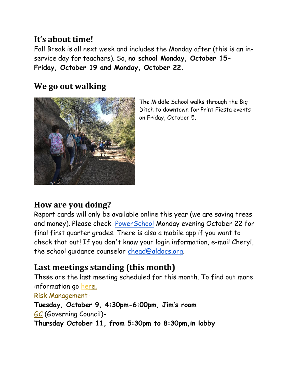### **It's about time!**

Fall Break is all next week and includes the Monday after (this is an inservice day for teachers). So, **no school Monday, October 15- Friday, October 19 and Monday, October 22.**

### **We go out walking**



The Middle School walks through the Big Ditch to downtown for Print Fiesta events on Friday, October 5.

### **How are you doing?**

Report cards will only be available online this year (we are saving trees and money). Please check [PowerSchool](https://aldocs.powerschool.com/public/home.html) Monday evening October 22 for final first quarter grades. There is also a mobile app if you want to check that out! If you don't know your login information, e-mail Cheryl, the school guidance counselor [chead@aldocs.org.](mailto:chead@aldocs.org)

### **Last meetings standing (this month)**

These are the last meeting scheduled for this month. To find out more information go [here.](https://www.aldocs.org/committees.html) 

[Risk Management-](https://www.aldocs.org/risk-management.html)

**Tuesday, October 9, 4:30pm-6:00pm, Jim's room** [GC](https://www.aldocs.org/about-the-alcs-governing-council.html) (Governing Council)- **Thursday October 11, from 5:30pm to 8:30pm,in lobby**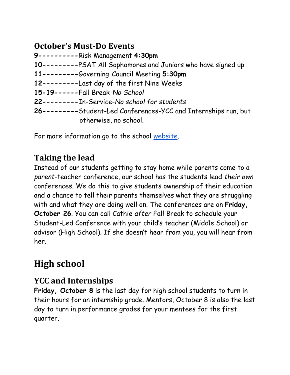### **October's Must-Do Events**

**9----------**Risk Management **4:30pm 10---------**PSAT All Sophomores and Juniors who have signed up **11---------**Governing Council Meeting **5:30pm 12---------**Last day of the first Nine Weeks **15-19------**Fall Break-*No School* **22---------**In-Service-*No school for students* **26---------**Student-Led Conferences-YCC and Internships run, but otherwise, no school.

For more information go to the school [website.](https://www.aldocs.org/)

# **Taking the lead**

Instead of our students getting to stay home while parents come to a *parent*-teacher conference, our school has the students lead *their own* conferences. We do this to give students ownership of their education and a chance to tell their parents themselves what they are struggling with and what they are doing well on. The conferences are on **Friday, October 26**. You can call Cathie *after* Fall Break to schedule your Student-Led Conference with your child's teacher (Middle School) or advisor (High School). If she doesn't hear from you, you will hear from her.

# **High school**

## **YCC and Internships**

**Friday, October 8** is the last day for high school students to turn in their hours for an internship grade. Mentors, October 8 is also the last day to turn in performance grades for your mentees for the first quarter.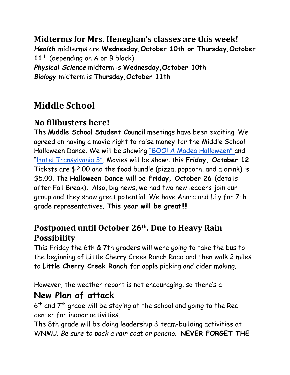**Midterms for Mrs. Heneghan's classes are this week!** *Health* midterms are **Wednesday,October 10th or Thursday,October 11th** (depending on A or B block) *Physical Science* midterm is **Wednesday,October 10th** *Biology* midterm is **Thursday,October 11th**

# **Middle School**

### **No filibusters here!**

The **Middle School Student Council** meetings have been exciting! We agreed on having a movie night to raise money for the Middle School Halloween Dance. We will be showing "BOO! A M[adea Halloween"](https://www.youtube.com/watch?v=-sPHseSGr9Q) and ["Hotel Transylvania 3"](https://www.youtube.com/watch?v=_EzB6eTni2s). Movies will be shown this **Friday, October 12**. Tickets are \$2.00 and the food bundle (pizza, popcorn, and a drink) is \$5.00. The **Halloween Dance** will be **Friday, October 26** (details after Fall Break)**.** Also, big news, we had two new leaders join our group and they show great potential. We have Anora and Lily for 7th grade representatives. **This year will be great!!!!**

### **Postponed until October 26th. Due to Heavy Rain Possibility**

This Friday the 6th & 7th graders will were going to take the bus to the beginning of Little Cherry Creek Ranch Road and then walk 2 miles to **Little Cherry Creek Ranch** for apple picking and cider making.

However, the weather report is not encouraging, so there's a

# **New Plan of attack**

 $6<sup>th</sup>$  and  $7<sup>th</sup>$  grade will be staying at the school and going to the Rec. center for indoor activities.

The 8th grade will be doing leadership & team-building activities at WNMU*. Be sure to pack a rain coat or poncho*. **NEVER FORGET THE**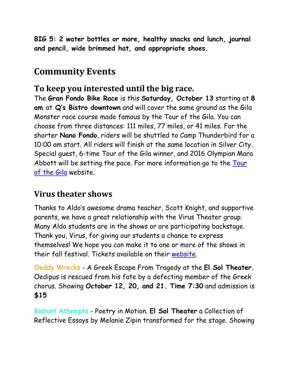**BIG 5: 2 water bottles or more, healthy snacks and lunch, journal and pencil, wide brimmed hat, and appropriate shoes.**

# **Community Events**

### **To keep you interested until the big race.**

The **Gran Fondo Bike Race** is this **Saturday, October 13** starting at **8 am** at **Q's Bistro downtown** and will cover the same ground as the Gila Monster race course made famous by the Tour of the Gila. You can choose from three distances: 111 miles, 77 miles, or 41 miles. For the shorter **Nano Fondo**, riders will be shuttled to Camp Thunderbird for a 10:00 am start. All riders will finish at the same location in Silver City. Special guest, 6-time Tour of the Gila winner, and 2016 Olympian Mara Abbott will be setting the pace. For more information go to the [Tour](http://tourofthegila.com/gran-fondo/)  [of the Gila](http://tourofthegila.com/gran-fondo/) website.

### **Virus theater shows**

Thanks to Aldo's awesome drama teacher, Scott Knight, and supportive parents, we have a great relationship with the Virus Theater group. Many Aldo students are in the shows or are participating backstage. Thank you, Virus, for giving our students a chance to express themselves! We hope you can make it to one or more of the shows in their fall festival. Tickets available on their [website.](https://virustheater.com/)

Oeddy Wrecks - A Greek Escape From Tragedy at the **El Sol Theater.** Oedipus is rescued from his fate by a defecting member of the Greek chorus. Showing **October 12, 20, and 21. Time 7:30** and admission is **\$15**

Blatant Attempts - Poetry in Motion. **El Sol Theater** a Collection of Reflective Essays by Melanie Zipin transformed for the stage. Showing